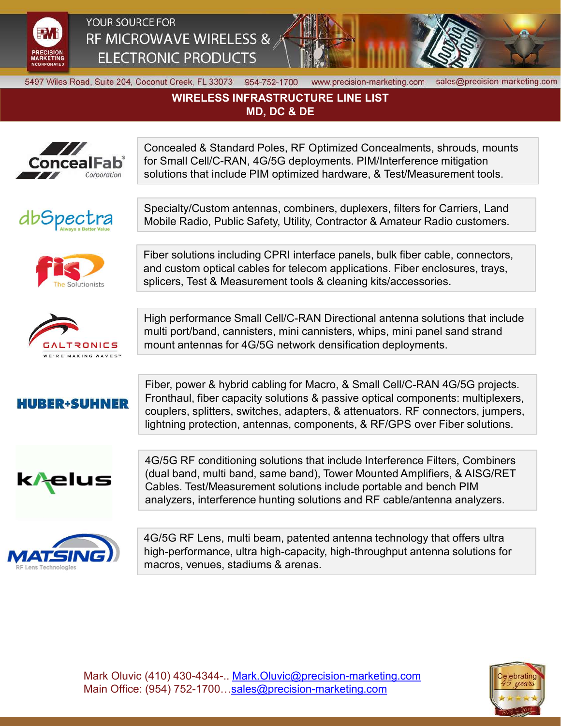



## WIRELESS INFRASTRUCTURE LINE LIST MD, DC & DE